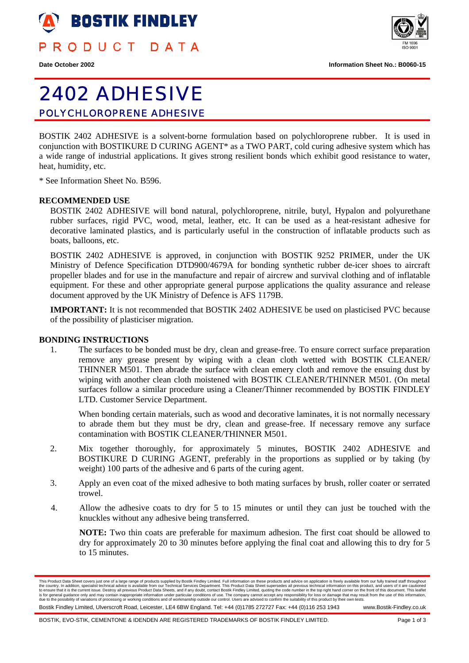

PRODUCT DATA





# 2402 ADHESIVE POLYCHLOROPRENE ADHESIVE

BOSTIK 2402 ADHESIVE is a solvent-borne formulation based on polychloroprene rubber. It is used in conjunction with BOSTIKURE D CURING AGENT\* as a TWO PART, cold curing adhesive system which has a wide range of industrial applications. It gives strong resilient bonds which exhibit good resistance to water, heat, humidity, etc.

\* See Information Sheet No. B596.

## **RECOMMENDED USE**

BOSTIK 2402 ADHESIVE will bond natural, polychloroprene, nitrile, butyl, Hypalon and polyurethane rubber surfaces, rigid PVC, wood, metal, leather, etc. It can be used as a heat-resistant adhesive for decorative laminated plastics, and is particularly useful in the construction of inflatable products such as boats, balloons, etc.

BOSTIK 2402 ADHESIVE is approved, in conjunction with BOSTIK 9252 PRIMER, under the UK Ministry of Defence Specification DTD900/4679A for bonding synthetic rubber de-icer shoes to aircraft propeller blades and for use in the manufacture and repair of aircrew and survival clothing and of inflatable equipment. For these and other appropriate general purpose applications the quality assurance and release document approved by the UK Ministry of Defence is AFS 1179B.

**IMPORTANT:** It is not recommended that BOSTIK 2402 ADHESIVE be used on plasticised PVC because of the possibility of plasticiser migration.

# **BONDING INSTRUCTIONS**

1. The surfaces to be bonded must be dry, clean and grease-free. To ensure correct surface preparation remove any grease present by wiping with a clean cloth wetted with BOSTIK CLEANER/ THINNER M501. Then abrade the surface with clean emery cloth and remove the ensuing dust by wiping with another clean cloth moistened with BOSTIK CLEANER/THINNER M501. (On metal surfaces follow a similar procedure using a Cleaner/Thinner recommended by BOSTIK FINDLEY LTD. Customer Service Department.

When bonding certain materials, such as wood and decorative laminates, it is not normally necessary to abrade them but they must be dry, clean and grease-free. If necessary remove any surface contamination with BOSTIK CLEANER/THINNER M501.

- 2. Mix together thoroughly, for approximately 5 minutes, BOSTIK 2402 ADHESIVE and BOSTIKURE D CURING AGENT, preferably in the proportions as supplied or by taking (by weight) 100 parts of the adhesive and 6 parts of the curing agent.
- 3. Apply an even coat of the mixed adhesive to both mating surfaces by brush, roller coater or serrated trowel.
- 4. Allow the adhesive coats to dry for 5 to 15 minutes or until they can just be touched with the knuckles without any adhesive being transferred.

**NOTE:** Two thin coats are preferable for maximum adhesion. The first coat should be allowed to dry for approximately 20 to 30 minutes before applying the final coat and allowing this to dry for 5 to 15 minutes.

Bostik Findley Limited, Ulverscroft Road, Leicester, LE4 6BW England. Tel: +44 (0)1785 272727 Fax: +44 (0)116 253 1943 www.Bostik-Findley.co.uk

This Product Data Sheet overs just one of a large range of products supplied by Bostik Findley Limited. Full information on these products and advice in a scheen supplication is freely available form our Technical Sheets,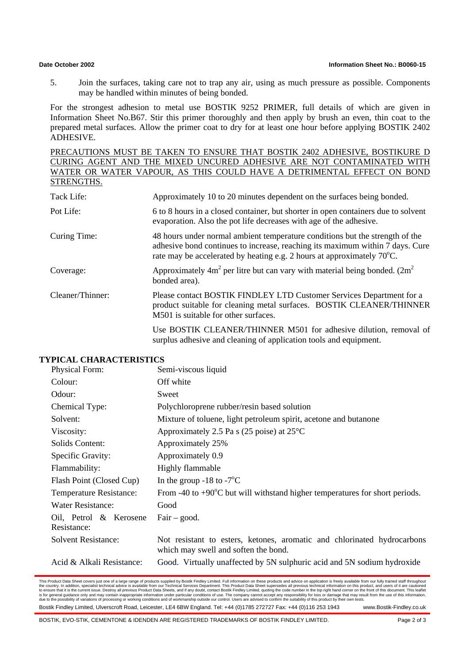5. Join the surfaces, taking care not to trap any air, using as much pressure as possible. Components may be handled within minutes of being bonded.

For the strongest adhesion to metal use BOSTIK 9252 PRIMER, full details of which are given in Information Sheet No.B67. Stir this primer thoroughly and then apply by brush an even, thin coat to the prepared metal surfaces. Allow the primer coat to dry for at least one hour before applying BOSTIK 2402 ADHESIVE.

PRECAUTIONS MUST BE TAKEN TO ENSURE THAT BOSTIK 2402 ADHESIVE, BOSTIKURE D CURING AGENT AND THE MIXED UNCURED ADHESIVE ARE NOT CONTAMINATED WITH WATER OR WATER VAPOUR, AS THIS COULD HAVE A DETRIMENTAL EFFECT ON BOND STRENGTHS.

| Tack Life:       | Approximately 10 to 20 minutes dependent on the surfaces being bonded.                                                                                                                                                                  |
|------------------|-----------------------------------------------------------------------------------------------------------------------------------------------------------------------------------------------------------------------------------------|
| Pot Life:        | 6 to 8 hours in a closed container, but shorter in open containers due to solvent<br>evaporation. Also the pot life decreases with age of the adhesive.                                                                                 |
| Curing Time:     | 48 hours under normal ambient temperature conditions but the strength of the<br>adhesive bond continues to increase, reaching its maximum within 7 days. Cure<br>rate may be accelerated by heating e.g. 2 hours at approximately 70°C. |
| Coverage:        | Approximately $4m^2$ per litre but can vary with material being bonded. (2m <sup>2</sup> )<br>bonded area).                                                                                                                             |
| Cleaner/Thinner: | Please contact BOSTIK FINDLEY LTD Customer Services Department for a<br>product suitable for cleaning metal surfaces. BOSTIK CLEANER/THINNER<br>M501 is suitable for other surfaces.                                                    |

Use BOSTIK CLEANER/THINNER M501 for adhesive dilution, removal of surplus adhesive and cleaning of application tools and equipment.

# **TYPICAL CHARACTERISTICS**

| Physical Form:                        | Semi-viscous liquid                                                                                             |  |
|---------------------------------------|-----------------------------------------------------------------------------------------------------------------|--|
| Colour:                               | Off white                                                                                                       |  |
| Odour:                                | Sweet                                                                                                           |  |
| Chemical Type:                        | Polychloroprene rubber/resin based solution                                                                     |  |
| Solvent:                              | Mixture of toluene, light petroleum spirit, acetone and butanone                                                |  |
| Viscosity:                            | Approximately 2.5 Pa s (25 poise) at $25^{\circ}$ C                                                             |  |
| Solids Content:                       | Approximately 25%                                                                                               |  |
| Specific Gravity:                     | Approximately 0.9                                                                                               |  |
| Flammability:                         | Highly flammable                                                                                                |  |
| Flash Point (Closed Cup)              | In the group -18 to -7 $\mathrm{^{\circ}C}$                                                                     |  |
| Temperature Resistance:               | From -40 to +90 $^{\circ}$ C but will withstand higher temperatures for short periods.                          |  |
| <b>Water Resistance:</b>              | Good                                                                                                            |  |
| Oil, Petrol & Kerosene<br>Resistance: | $Fair - good.$                                                                                                  |  |
| <b>Solvent Resistance:</b>            | Not resistant to esters, ketones, aromatic and chlorinated hydrocarbons<br>which may swell and soften the bond. |  |
| Acid & Alkali Resistance:             | Good. Virtually unaffected by 5N sulphuric acid and 5N sodium hydroxide                                         |  |

This Product Data Sheet overs just one of a large range of products supplied by Bostik Findley Limited. Full information on these products and advice in a scheen supplication is freely available form our Technical Sheets,

Bostik Findley Limited, Ulverscroft Road, Leicester, LE4 6BW England. Tel: +44 (0)1785 272727 Fax: +44 (0)116 253 1943 www.Bostik-Findley.co.uk

BOSTIK, EVO-STIK, CEMENTONE & IDENDEN ARE REGISTERED TRADEMARKS OF BOSTIK FINDLEY LIMITED. Page 2 of 3